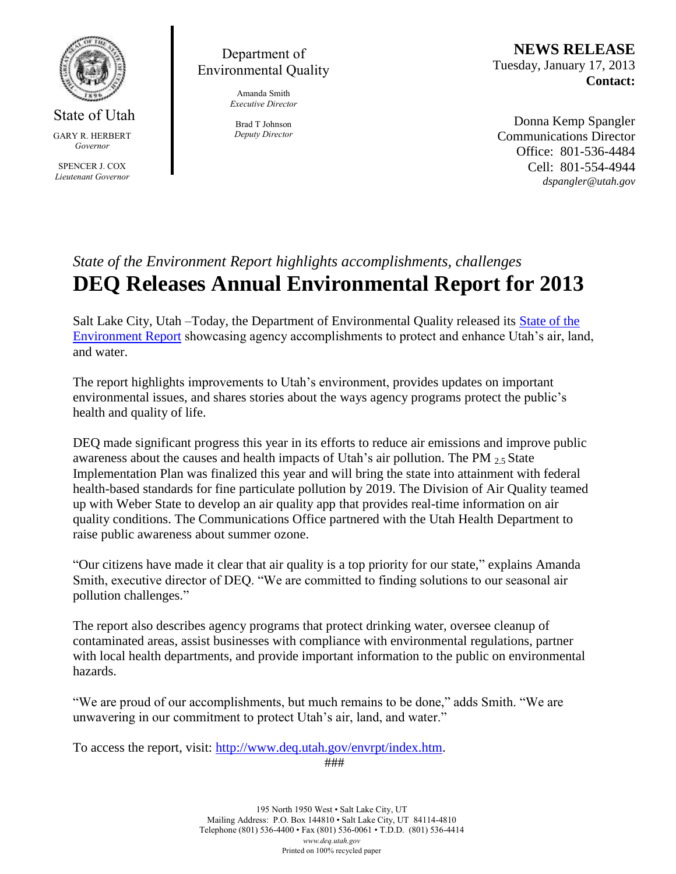

State of Utah GARY R. HERBERT *Governor* SPENCER J. COX *Lieutenant Governor*

## Department of Environmental Quality

Amanda Smith *Executive Director*

Brad T Johnson *Deputy Director*

**NEWS RELEASE** Tuesday, January 17, 2013 **Contact:**

Donna Kemp Spangler Communications Director Office: 801-536-4484 Cell: 801-554-4944 *dspangler@utah.gov*

## *State of the Environment Report highlights accomplishments, challenges* **DEQ Releases Annual Environmental Report for 2013**

Salt Lake City, Utah –Today, the Department of Environmental Quality released its State of the Environment Report showcasing agency accomplishments to protect and enhance Utah's air, land, and water.

The report highlights improvements to Utah's environment, provides updates on important environmental issues, and shares stories about the ways agency programs protect the public's health and quality of life.

DEQ made significant progress this year in its efforts to reduce air emissions and improve public awareness about the causes and health impacts of Utah's air pollution. The PM  $_2$  s State Implementation Plan was finalized this year and will bring the state into attainment with federal health-based standards for fine particulate pollution by 2019. The Division of Air Quality teamed up with Weber State to develop an air quality app that provides real-time information on air quality conditions. The Communications Office partnered with the Utah Health Department to raise public awareness about summer ozone.

"Our citizens have made it clear that air quality is a top priority for our state," explains Amanda Smith, executive director of DEQ. "We are committed to finding solutions to our seasonal air pollution challenges."

The report also describes agency programs that protect drinking water, oversee cleanup of contaminated areas, assist businesses with compliance with environmental regulations, partner with local health departments, and provide important information to the public on environmental hazards.

"We are proud of our accomplishments, but much remains to be done," adds Smith. "We are unwavering in our commitment to protect Utah's air, land, and water."

To access the report, visit: http://www.deq.utah.gov/envrpt/index.htm.

###